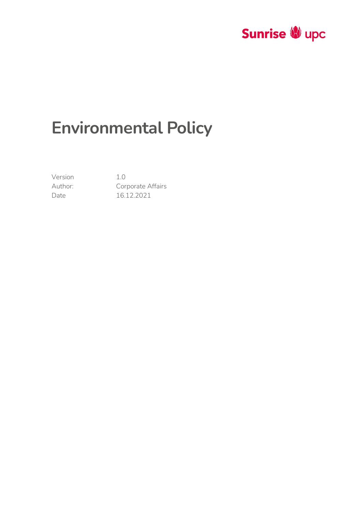

# **Environmental Policy**

Version 1.0

Author: Corporate Affairs Date 16.12.2021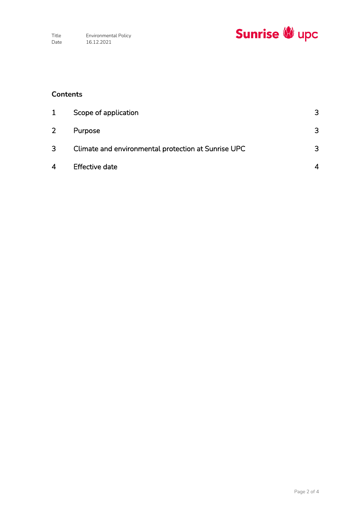

## **Contents**

| 1              | Scope of application                                | 3 |
|----------------|-----------------------------------------------------|---|
| $\overline{2}$ | Purpose                                             | 3 |
| 3              | Climate and environmental protection at Sunrise UPC | 3 |
| 4              | <b>Effective date</b>                               |   |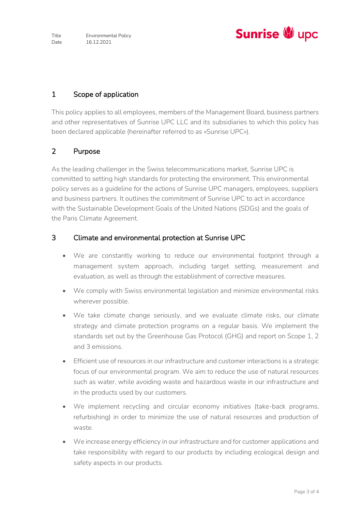

### <span id="page-2-0"></span>1 Scope of application

This policy applies to all employees, members of the Management Board, business partners and other representatives of Sunrise UPC LLC and its subsidiaries to which this policy has been declared applicable (hereinafter referred to as «Sunrise UPC»).

#### <span id="page-2-1"></span>2 Purpose

As the leading challenger in the Swiss telecommunications market, Sunrise UPC is committed to setting high standards for protecting the environment. This environmental policy serves as a guideline for the actions of Sunrise UPC managers, employees, suppliers and business partners. It outlines the commitment of Sunrise UPC to act in accordance with the Sustainable Development Goals of the United Nations (SDGs) and the goals of the Paris Climate Agreement.

#### <span id="page-2-2"></span>3 Climate and environmental protection at Sunrise UPC

- We are constantly working to reduce our environmental footprint through a management system approach, including target setting, measurement and evaluation, as well as through the establishment of corrective measures.
- We comply with Swiss environmental legislation and minimize environmental risks wherever possible.
- We take climate change seriously, and we evaluate climate risks, our climate strategy and climate protection programs on a regular basis. We implement the standards set out by the Greenhouse Gas Protocol (GHG) and report on Scope 1, 2 and 3 emissions.
- Efficient use of resources in our infrastructure and customer interactions is a strategic focus of our environmental program. We aim to reduce the use of natural resources such as water, while avoiding waste and hazardous waste in our infrastructure and in the products used by our customers.
- We implement recycling and circular economy initiatives (take-back programs, refurbishing) in order to minimize the use of natural resources and production of waste.
- We increase energy efficiency in our infrastructure and for customer applications and take responsibility with regard to our products by including ecological design and safety aspects in our products.